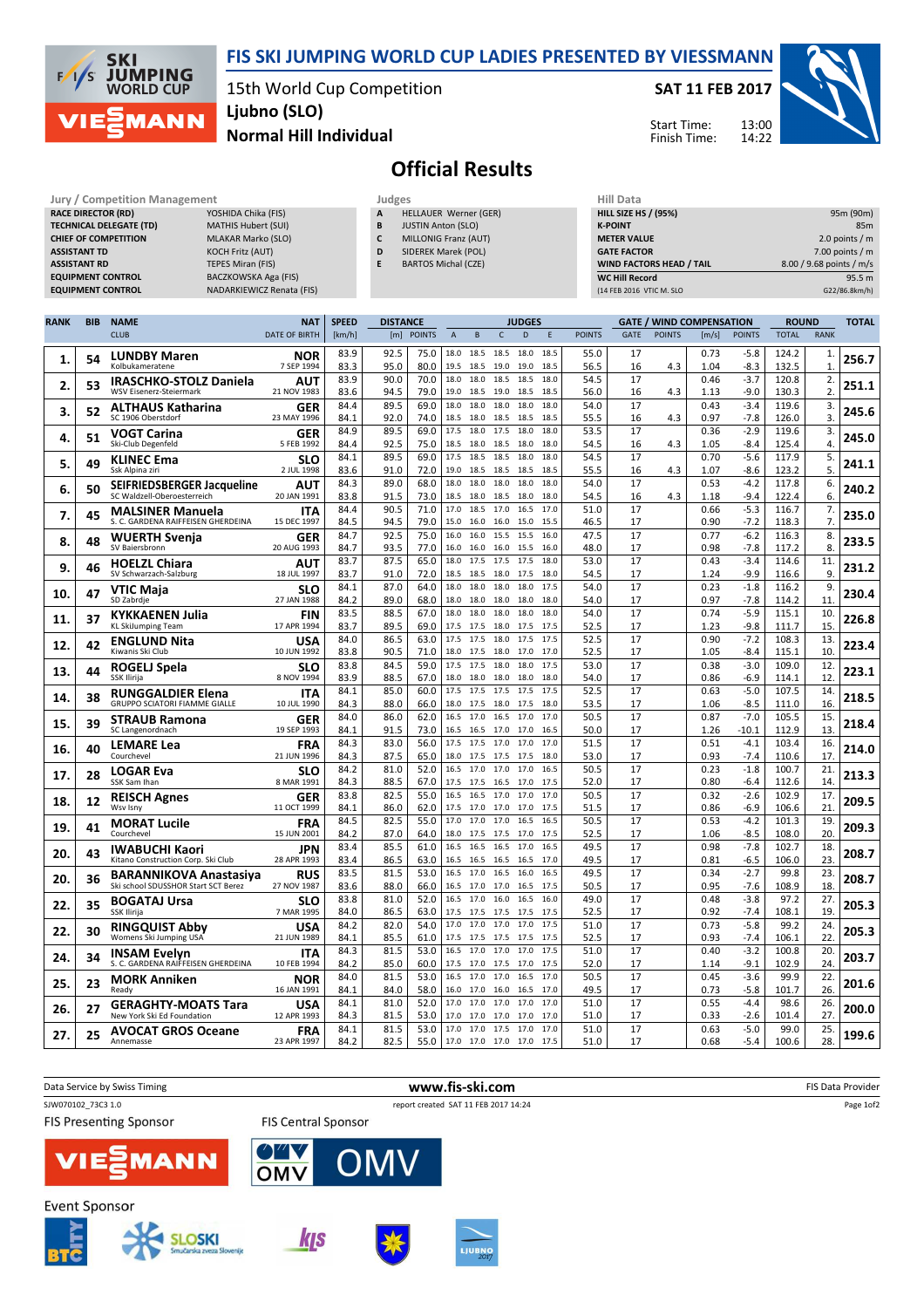

## FIS SKI JUMPING WORLD CUP LADIES PRESENTED BY VIESSMANN

15th World Cup Competition Ljubno (SLO)

SAT 11 FEB 2017

Start Time: Finish Time: 13:00



 $95.5 m$ (122/86.8km/h)

## Normal Hill Individual

## Official Results

| Jury / Competition Management  |                            |   | Judges                     | Hill Data                       |                          |  |  |
|--------------------------------|----------------------------|---|----------------------------|---------------------------------|--------------------------|--|--|
| <b>RACE DIRECTOR (RD)</b>      | YOSHIDA Chika (FIS)        | А | HELLAUER Werner (GER)      | <b>HILL SIZE HS / (95%)</b>     | 95m (90m)                |  |  |
| <b>TECHNICAL DELEGATE (TD)</b> | <b>MATHIS Hubert (SUI)</b> | B | <b>JUSTIN Anton (SLO)</b>  | <b>K-POINT</b>                  | 85 <sub>m</sub>          |  |  |
| <b>CHIEF OF COMPETITION</b>    | MLAKAR Marko (SLO)         |   | MILLONIG Franz (AUT)       | <b>METER VALUE</b>              | 2.0 points / $m$         |  |  |
| <b>ASSISTANT TD</b>            | KOCH Fritz (AUT)           | D | SIDEREK Marek (POL)        | <b>GATE FACTOR</b>              | 7.00 points / $m$        |  |  |
| <b>ASSISTANT RD</b>            | TEPES Miran (FIS)          |   | <b>BARTOS Michal (CZE)</b> | <b>WIND FACTORS HEAD / TAIL</b> | 8.00 / 9.68 points / m/s |  |  |
| <b>EQUIPMENT CONTROL</b>       | BACZKOWSKA Aga (FIS)       |   |                            | <b>WC Hill Record</b>           | 95.5 m                   |  |  |
| <b>EQUIPMENT CONTROL</b>       | NADARKIEWICZ Renata (FIS)  |   |                            | (14 FEB 2016 VTIC M, SLO        | G22/86.8km/h)            |  |  |

| <b>RANK</b> | <b>BIB</b> | <b>NAME</b>                                                      | <b>NAT</b>                | <b>SPEED</b> | <b>DISTANCE</b> |               |                |                        |              | <b>JUDGES</b> |              |               | <b>GATE / WIND COMPENSATION</b> |               |              | <b>ROUND</b>     |                | <b>TOTAL</b>                 |       |
|-------------|------------|------------------------------------------------------------------|---------------------------|--------------|-----------------|---------------|----------------|------------------------|--------------|---------------|--------------|---------------|---------------------------------|---------------|--------------|------------------|----------------|------------------------------|-------|
|             |            | <b>CLUB</b>                                                      | <b>DATE OF BIRTH</b>      | [km/h]       | [m]             | <b>POINTS</b> | $\overline{A}$ | B                      | $\mathsf{C}$ | D             | E            | <b>POINTS</b> | <b>GATE</b>                     | <b>POINTS</b> | [m/s]        | <b>POINTS</b>    | <b>TOTAL</b>   | <b>RANK</b>                  |       |
| 1.          | 54         | <b>LUNDBY Maren</b><br>Kolbukameratene                           | <b>NOR</b><br>7 SEP 1994  | 83.9<br>83.3 | 92.5<br>95.0    | 75.0<br>80.0  | 18.0<br>19.5   | 18.5 18.5 18.0<br>18.5 | 19.0         | 19.0          | 18.5<br>18.5 | 55.0<br>56.5  | 17<br>16                        | 4.3           | 0.73<br>1.04 | $-5.8$<br>$-8.3$ | 124.2<br>132.5 | $\mathbf{1}$<br>$\mathbf{1}$ | 256.7 |
| 2.          | 53         | <b>IRASCHKO-STOLZ Daniela</b><br>WSV Eisenerz-Steiermark         | AUT<br>21 NOV 1983        | 83.9<br>83.6 | 90.0<br>94.5    | 70.0<br>79.0  | 18.0<br>19.0   | 18.0<br>18.5           | 18.5<br>19.0 | 18.5<br>18.5  | 18.0<br>18.5 | 54.5<br>56.0  | 17<br>16                        | 4.3           | 0.46<br>1.13 | $-3.7$<br>$-9.0$ | 120.8<br>130.3 | 2.<br>2.                     | 251.1 |
|             |            | <b>ALTHAUS Katharina</b>                                         | <b>GER</b>                | 84.4         | 89.5            | 69.0          | 18.0           | 18.0                   | 18.0         | 18.0          | 18.0         | 54.0          | 17                              |               | 0.43         | $-3.4$           | 119.6          | 3.                           |       |
| З.          | 52         | SC 1906 Oberstdorf                                               | 23 MAY 1996               | 84.1         | 92.0            | 74.0          | 18.5           | 18.0                   | 18.5         | 18.5          | 18.5         | 55.5          | 16                              | 4.3           | 0.97         | $-7.8$           | 126.0          | 3.                           | 245.6 |
| 4.          | 51         | VOGT Carina<br>Ski-Club Degenfeld                                | <b>GER</b><br>5 FEB 1992  | 84.9<br>84.4 | 89.5<br>92.5    | 69.0<br>75.0  | 17.5           | 18.0<br>18.5 18.0      | 17.5<br>18.5 | 18.0<br>18.0  | 18.0<br>18.0 | 53.5<br>54.5  | 17<br>16                        | 4.3           | 0.36<br>1.05 | $-2.9$<br>$-8.4$ | 119.6<br>125.4 | 3.<br>4.                     | 245.0 |
| 5.          | 49         | <b>KLINEC Ema</b><br>Ssk Alpina ziri                             | SLO<br>2 JUL 1998         | 84.1<br>83.6 | 89.5<br>91.0    | 69.0<br>72.0  | 17.5<br>19.0   | 18.5<br>18.5           | 18.5<br>18.5 | 18.0<br>18.5  | 18.0<br>18.5 | 54.5<br>55.5  | 17<br>16                        | 4.3           | 0.70<br>1.07 | $-5.6$<br>$-8.6$ | 117.9<br>123.2 | 5.<br>5.                     | 241.1 |
|             |            | <b>SEIFRIEDSBERGER Jacqueline</b>                                | AUT                       | 84.3         | 89.0            | 68.0          | 18.0           | 18.0                   | 18.0         | 18.0          | 18.0         | 54.0          | 17                              |               | 0.53         | $-4.2$           | 117.8          | 6.                           |       |
| 6.          | 50         | SC Waldzell-Oberoesterreich                                      | 20 JAN 1991               | 83.8         | 91.5            | 73.0          | 18.5           | 18.0                   | 18.5         | 18.0          | 18.0         | 54.5          | 16                              | 4.3           | 1.18         | $-9.4$           | 122.4          | 6.                           | 240.2 |
| 7.          | 45         | <b>MALSINER Manuela</b><br>S. C. GARDENA RAIFFEISEN GHERDEINA    | <b>ITA</b><br>15 DEC 1997 | 84.4<br>84.5 | 90.5<br>94.5    | 71.0<br>79.0  | 17.0<br>15.0   | 18.5<br>16.0           | 17.0<br>16.0 | 16.5<br>15.0  | 17.0<br>15.5 | 51.0<br>46.5  | 17<br>17                        |               | 0.66<br>0.90 | $-5.3$<br>$-7.2$ | 116.7<br>118.3 | 7.<br>7.                     | 235.0 |
|             |            | <b>WUERTH Svenja</b>                                             | <b>GER</b>                | 84.7         | 92.5            | 75.0          | 16.0           | 16.0                   | 15.5         | 15.5          | 16.0         | 47.5          | 17                              |               | 0.77         | $-6.2$           | 116.3          | 8.                           |       |
| 8.          | 48         | SV Baiersbronn                                                   | 20 AUG 1993               | 84.7         | 93.5            | 77.0          | 16.0           | 16.0                   | 16.0         | 15.5          | 16.0         | 48.0          | 17                              |               | 0.98         | $-7.8$           | 117.2          | 8.                           | 233.5 |
| 9.          | 46         | <b>HOELZL Chiara</b>                                             | AUT                       | 83.7         | 87.5            | 65.0          | 18.0           | 17.5                   | 17.5         | 17.5          | 18.0         | 53.0          | 17                              |               | 0.43         | $-3.4$           | 114.6          | 11.                          | 231.2 |
|             |            | SV Schwarzach-Salzburg                                           | 18 JUL 1997               | 83.7         | 91.0            | 72.0          | 18.5           | 18.5                   | 18.0 17.5    |               | 18.0         | 54.5          | 17                              |               | 1.24         | $-9.9$           | 116.6          | 9.                           |       |
| 10.         | 47         | VTIC Maia<br>SD Zabrdje                                          | <b>SLO</b><br>27 JAN 1988 | 84.1<br>84.2 | 87.0<br>89.0    | 64.0<br>68.0  | 18.0<br>18.0   | 18.0<br>18.0           | 18.0<br>18.0 | 18.0<br>18.0  | 17.5<br>18.0 | 54.0<br>54.0  | 17<br>17                        |               | 0.23<br>0.97 | $-1.8$<br>$-7.8$ | 116.2<br>114.2 | 9.<br>11.                    | 230.4 |
|             |            | KYKKAENEN Julia                                                  | FIN                       | 83.5         | 88.5            | 67.0          |                | 18.0 18.0              | 18.0         | 18.0          | 18.0         | 54.0          | 17                              |               | 0.74         | $-5.9$           | 115.1          | 10.                          |       |
| 11.         | 37         | KL SkiJumping Team                                               | 17 APR 1994               | 83.7         | 89.5            | 69.0          | 17.5           | 17.5                   | 18.0         | 17.5          | 17.5         | 52.5          | 17                              |               | 1.23         | $-9.8$           | 111.7          | 15.                          | 226.8 |
| 12.         | 42         | <b>ENGLUND Nita</b>                                              | USA                       | 84.0         | 86.5            | 63.0          | 17.5           | 17.5                   | 18.0         | 17.5          | 17.5         | 52.5          | 17                              |               | 0.90         | $-7.2$           | 108.3          | 13.                          | 223.4 |
|             |            | Kiwanis Ski Club                                                 | 10 JUN 1992               | 83.8         | 90.5            | 71.0          |                | 18.0 17.5              | 18.0         | 17.0          | 17.0         | 52.5          | 17                              |               | 1.05         | $-8.4$           | 115.1          | 10.                          |       |
| 13.         | 44         | ROGELJ Spela                                                     | <b>SLO</b>                | 83.8         | 84.5            | 59.0          | 17.5           | 17.5                   | 18.0         | 18.0          | 17.5         | 53.0          | 17                              |               | 0.38         | $-3.0$           | 109.0          | 12.                          | 223.1 |
|             |            | SSK Ilirija                                                      | 8 NOV 1994                | 83.9<br>84.1 | 88.5<br>85.0    | 67.0<br>60.0  | 18.0           | 18.0<br>17.5 17.5 17.5 | 18.0         | 18.0<br>17.5  | 18.0<br>17.5 | 54.0<br>52.5  | 17<br>17                        |               | 0.86<br>0.63 | $-6.9$<br>$-5.0$ | 114.1<br>107.5 | 12.<br>14.                   |       |
| 14.         | 38         | <b>RUNGGALDIER Elena</b><br><b>GRUPPO SCIATORI FIAMME GIALLE</b> | ITA<br>10 JUL 1990        | 84.3         | 88.0            | 66.0          | 18.0           | 17.5                   | 18.0         | 17.5          | 18.0         | 53.5          | 17                              |               | 1.06         | $-8.5$           | 111.0          | 16.                          | 218.5 |
|             |            | <b>STRAUB Ramona</b>                                             | <b>GER</b>                | 84.0         | 86.0            | 62.0          | 16.5           | 17.0                   | 16.5         | 17.0          | 17.0         | 50.5          | 17                              |               | 0.87         | $-7.0$           | 105.5          | 15.                          |       |
| 15          | 39         | SC Langenordnach                                                 | 19 SEP 1993               | 84.1         | 91.5            | 73.0          |                | 16.5 16.5              | 17.0 17.0    |               | 16.5         | 50.0          | 17                              |               | 1.26         | $-10.1$          | 112.9          | 13.                          | 218.4 |
| 16.         | 40         | <b>LEMARE Lea</b>                                                | <b>FRA</b>                | 84.3         | 83.0            | 56.0          | 17.5           | 17.5                   | 17.0         | 17.0          | 17.0         | 51.5          | 17                              |               | 0.51         | $-4.1$           | 103.4          | 16.                          | 214.0 |
|             |            | Courchevel                                                       | 21 JUN 1996               | 84.3<br>84.2 | 87.5<br>81.0    | 65.0<br>52.0  |                | 18.0 17.5<br>16.5 17.0 | 17.5<br>17.0 | 17.5<br>17.0  | 18.0<br>16.5 | 53.0<br>50.5  | 17<br>17                        |               | 0.93<br>0.23 | $-7.4$<br>$-1.8$ | 110.6<br>100.7 | 17.<br>21.                   |       |
| 17.         | 28         | <b>LOGAR Eva</b><br>SSK Sam Ihan                                 | SLO<br>8 MAR 1991         | 84.3         | 88.5            | 67.0          | 17.5           | 17.5                   | 16.5         | 17.0          | 17.5         | 52.0          | 17                              |               | 0.80         | -6.4             | 112.6          | 14.                          | 213.3 |
|             |            | <b>REISCH Agnes</b>                                              | GER                       | 83.8         | 82.5            | 55.0          |                | 16.5 16.5 17.0 17.0    |              |               | 17.0         | 50.5          | 17                              |               | 0.32         | $-2.6$           | 102.9          | 17.                          |       |
| 18.         | 12         | Wsv Isnv                                                         | 11 OCT 1999               | 84.1         | 86.0            | 62.0          |                | 17.5 17.0              | 17.0         | 17.0          | 17.5         | 51.5          | 17                              |               | 0.86         | -6.9             | 106.6          | 21                           | 209.5 |
| 19          | 41         | <b>MORAT Lucile</b>                                              | <b>FRA</b>                | 84.5         | 82.5            | 55.0          | 17.0           | 17.0                   | 17.0         | 16.5          | 16.5         | 50.5          | 17                              |               | 0.53         | $-4.2$           | 101.3          | 19.                          | 209.3 |
|             |            | Courchevel                                                       | 15 JUN 2001               | 84.2<br>83.4 | 87.0<br>85.5    | 64.0<br>61.0  | 18.0<br>16.5   | 17.5<br>16.5           | 17.5<br>16.5 | 17.0<br>17.0  | 17.5<br>16.5 | 52.5<br>49.5  | 17<br>17                        |               | 1.06<br>0.98 | $-8.5$<br>$-7.8$ | 108.0<br>102.7 | 20.<br>18.                   |       |
| 20.         | 43         | <b>IWABUCHI Kaori</b><br>Kitano Construction Corp. Ski Club      | <b>JPN</b><br>28 APR 1993 | 83.4         | 86.5            | 63.0          |                | 16.5 16.5              | 16.5         | 16.5          | 17.0         | 49.5          | 17                              |               | 0.81         | $-6.5$           | 106.0          | 23.                          | 208.7 |
| 20.         | 36         | <b>BARANNIKOVA Anastasiya</b>                                    | <b>RUS</b>                | 83.5         | 81.5            | 53.0          | 16.5           | 17.0                   | 16.5         | 16.0          | 16.5         | 49.5          | 17                              |               | 0.34         | $-2.7$           | 99.8           | 23.                          | 208.7 |
|             |            | Ski school SDUSSHOR Start SCT Berez                              | 27 NOV 1987               | 83.6         | 88.0            | 66.0          |                | 16.5 17.0              | 17.0         | 16.5          | 17.5         | 50.5          | 17                              |               | 0.95         | $-7.6$           | 108.9          | 18.                          |       |
| 22.         | 35         | <b>BOGATAJ Ursa</b>                                              | SLO                       | 83.8         | 81.0            | 52.0          | 16.5           | 17.0                   | 16.0         | 16.5          | 16.0         | 49.0          | 17                              |               | 0.48         | $-3.8$           | 97.2           | 27.                          | 205.3 |
|             |            | SSK Ilirija                                                      | 7 MAR 1995                | 84.0<br>84.2 | 86.5<br>82.0    | 63.0<br>54.0  | 17.5<br>17.0   | 17.5<br>17.0           | 17.5<br>17.0 | 17.5<br>17.0  | 17.5<br>17.5 | 52.5<br>51.0  | 17<br>17                        |               | 0.92<br>0.73 | $-7.4$<br>$-5.8$ | 108.1<br>99.2  | 19.<br>24.                   |       |
| 22.         | 30         | <b>RINGQUIST Abby</b><br>Womens Ski Jumping USA                  | USA<br>21 JUN 1989        | 84.1         | 85.5            | 61.0          |                | 17.5 17.5              | 17.5 17.5    |               | 17.5         | 52.5          | 17                              |               | 0.93         | $-7.4$           | 106.1          | 22.                          | 205.3 |
|             |            | <b>INSAM Evelyn</b>                                              | ITA                       | 84.3         | 81.5            | 53.0          | 16.5           | 17.0                   | 17.0         | 17.0          | 17.5         | 51.0          | 17                              |               | 0.40         | $-3.2$           | 100.8          | 20.                          |       |
| 24.         | 34         | S. C. GARDENA RAIFFEISEN GHERDEINA                               | 10 FEB 1994               | 84.2         | 85.0            | 60.0          | 17.5           | 17.0                   | 17.5         | 17.0          | 17.5         | 52.0          | 17                              |               | 1.14         | -9.1             | 102.9          | 24                           | 203.7 |
| 25          | 23         | <b>MORK Anniken</b>                                              | <b>NOR</b>                | 84.0         | 81.5            | 53.0          |                | 16.5 17.0              | 17.0         | 16.5          | 17.0         | 50.5          | 17                              |               | 0.45         | $-3.6$           | 99.9           | 22.                          | 201.6 |
|             |            | Ready                                                            | 16 JAN 1991               | 84.1<br>84.1 | 84.0<br>81.0    | 58.0<br>52.0  | 16.0<br>17.0   | 17.0<br>17.0           | 16.0<br>17.0 | 16.5<br>17.0  | 17.0<br>17.0 | 49.5<br>51.0  | 17<br>17                        |               | 0.73<br>0.55 | $-5.8$<br>$-4.4$ | 101.7<br>98.6  | 26.<br>26.                   |       |
| 26.         | 27         | <b>GERAGHTY-MOATS Tara</b><br>New York Ski Ed Foundation         | USA<br>12 APR 1993        | 84.3         | 81.5            | 53.0          |                | 17.0 17.0              | 17.0 17.0    |               | 17.0         | 51.0          | 17                              |               | 0.33         | $-2.6$           | 101.4          | 27.                          | 200.0 |
|             |            | <b>AVOCAT GROS Oceane</b>                                        | <b>FRA</b>                | 84.1         | 81.5            | 53.0          | 17.0           | 17.0                   | 17.5         | 17.0          | 17.0         | 51.0          | 17                              |               | 0.63         | $-5.0$           | 99.0           | 25.                          |       |
| 27.         | 25         | Annemasse                                                        | 23 APR 1997               | 84.2         | 82.5            | 55.0          |                | 17.0 17.0 17.0 17.0    |              |               | 17.5         | 51.0          | 17                              |               | 0.68         | $-5.4$           | 100.6          | 28.                          | 199.6 |